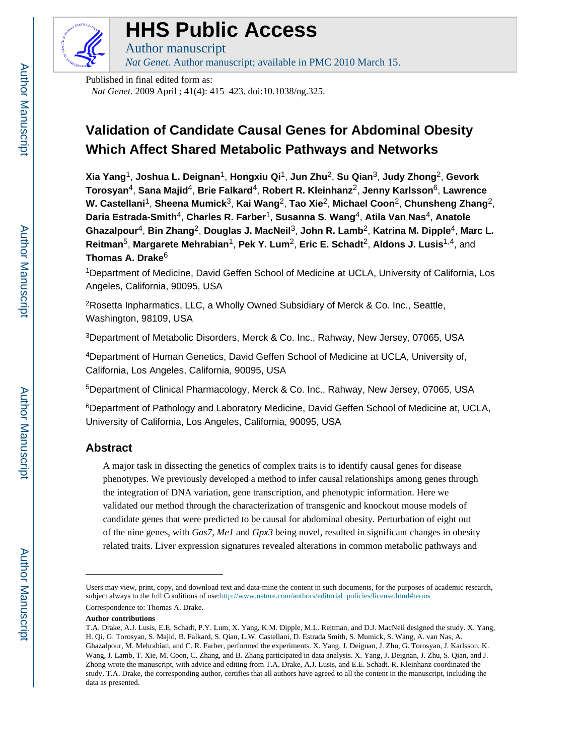

# **HHS Public Access**

Author manuscript *Nat Genet*. Author manuscript; available in PMC 2010 March 15.

Published in final edited form as: *Nat Genet*. 2009 April ; 41(4): 415–423. doi:10.1038/ng.325.

# **Validation of Candidate Causal Genes for Abdominal Obesity Which Affect Shared Metabolic Pathways and Networks**

**Xia Yang**1, **Joshua L. Deignan**1, **Hongxiu Qi**1, **Jun Zhu**2, **Su Qian**3, **Judy Zhong**2, **Gevork Torosyan**4, **Sana Majid**4, **Brie Falkard**4, **Robert R. Kleinhanz**2, **Jenny Karlsson**6, **Lawrence W. Castellani**1, **Sheena Mumick**3, **Kai Wang**2, **Tao Xie**2, **Michael Coon**2, **Chunsheng Zhang**2, **Daria Estrada-Smith**4, **Charles R. Farber**1, **Susanna S. Wang**4, **Atila Van Nas**4, **Anatole Ghazalpour**4, **Bin Zhang**2, **Douglas J. MacNeil**3, **John R. Lamb**2, **Katrina M. Dipple**4, **Marc L. Reitman**5, **Margarete Mehrabian**1, **Pek Y. Lum**2, **Eric E. Schadt**2, **Aldons J. Lusis**1,4, and **Thomas A. Drake**<sup>6</sup>

<sup>1</sup>Department of Medicine, David Geffen School of Medicine at UCLA, University of California, Los Angeles, California, 90095, USA

<sup>2</sup>Rosetta Inpharmatics, LLC, a Wholly Owned Subsidiary of Merck & Co. Inc., Seattle, Washington, 98109, USA

<sup>3</sup>Department of Metabolic Disorders, Merck & Co. Inc., Rahway, New Jersey, 07065, USA

<sup>4</sup>Department of Human Genetics, David Geffen School of Medicine at UCLA, University of, California, Los Angeles, California, 90095, USA

<sup>5</sup>Department of Clinical Pharmacology, Merck & Co. Inc., Rahway, New Jersey, 07065, USA

<sup>6</sup>Department of Pathology and Laboratory Medicine, David Geffen School of Medicine at, UCLA, University of California, Los Angeles, California, 90095, USA

# **Abstract**

A major task in dissecting the genetics of complex traits is to identify causal genes for disease phenotypes. We previously developed a method to infer causal relationships among genes through the integration of DNA variation, gene transcription, and phenotypic information. Here we validated our method through the characterization of transgenic and knockout mouse models of candidate genes that were predicted to be causal for abdominal obesity. Perturbation of eight out of the nine genes, with *Gas7*, *Me1* and *Gpx3* being novel, resulted in significant changes in obesity related traits. Liver expression signatures revealed alterations in common metabolic pathways and

Correspondence to: Thomas A. Drake.

**Author contributions**

Users may view, print, copy, and download text and data-mine the content in such documents, for the purposes of academic research, subject always to the full Conditions of use:[http://www.nature.com/authors/editorial\\_policies/license.html#terms](http://www.nature.com/authors/editorial_policies/license.html#terms)

T.A. Drake, A.J. Lusis, E.E. Schadt, P.Y. Lum, X. Yang, K.M. Dipple, M.L. Reitman, and D.J. MacNeil designed the study. X. Yang, H. Qi, G. Torosyan, S. Majid, B. Falkard, S. Qian, L.W. Castellani, D. Estrada Smith, S. Mumick, S. Wang, A. van Nas, A. Ghazalpour, M. Mehrabian, and C. R. Farber, performed the experiments. X. Yang, J. Deignan, J. Zhu, G. Torosyan, J. Karlsson, K. Wang, J. Lamb, T. Xie, M. Coon, C. Zhang, and B. Zhang participated in data analysis. X. Yang, J. Deignan, J. Zhu, S. Qian, and J. Zhong wrote the manuscript, with advice and editing from T.A. Drake, A.J. Lusis, and E.E. Schadt. R. Kleinhanz coordinated the study. T.A. Drake, the corresponding author, certifies that all authors have agreed to all the content in the manuscript, including the data as presented.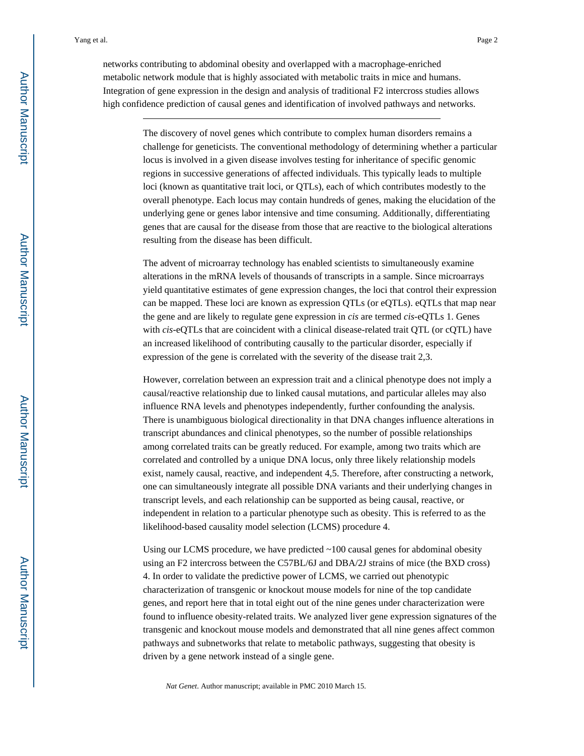networks contributing to abdominal obesity and overlapped with a macrophage-enriched metabolic network module that is highly associated with metabolic traits in mice and humans. Integration of gene expression in the design and analysis of traditional F2 intercross studies allows high confidence prediction of causal genes and identification of involved pathways and networks.

> The discovery of novel genes which contribute to complex human disorders remains a challenge for geneticists. The conventional methodology of determining whether a particular locus is involved in a given disease involves testing for inheritance of specific genomic regions in successive generations of affected individuals. This typically leads to multiple loci (known as quantitative trait loci, or QTLs), each of which contributes modestly to the overall phenotype. Each locus may contain hundreds of genes, making the elucidation of the underlying gene or genes labor intensive and time consuming. Additionally, differentiating genes that are causal for the disease from those that are reactive to the biological alterations resulting from the disease has been difficult.

> The advent of microarray technology has enabled scientists to simultaneously examine alterations in the mRNA levels of thousands of transcripts in a sample. Since microarrays yield quantitative estimates of gene expression changes, the loci that control their expression can be mapped. These loci are known as expression QTLs (or eQTLs). eQTLs that map near the gene and are likely to regulate gene expression in *cis* are termed *cis*-eQTLs 1. Genes with *cis*-eQTLs that are coincident with a clinical disease-related trait QTL (or cQTL) have an increased likelihood of contributing causally to the particular disorder, especially if expression of the gene is correlated with the severity of the disease trait 2,3.

> However, correlation between an expression trait and a clinical phenotype does not imply a causal/reactive relationship due to linked causal mutations, and particular alleles may also influence RNA levels and phenotypes independently, further confounding the analysis. There is unambiguous biological directionality in that DNA changes influence alterations in transcript abundances and clinical phenotypes, so the number of possible relationships among correlated traits can be greatly reduced. For example, among two traits which are correlated and controlled by a unique DNA locus, only three likely relationship models exist, namely causal, reactive, and independent 4,5. Therefore, after constructing a network, one can simultaneously integrate all possible DNA variants and their underlying changes in transcript levels, and each relationship can be supported as being causal, reactive, or independent in relation to a particular phenotype such as obesity. This is referred to as the likelihood-based causality model selection (LCMS) procedure 4.

> Using our LCMS procedure, we have predicted  $\sim$ 100 causal genes for abdominal obesity using an F2 intercross between the C57BL/6J and DBA/2J strains of mice (the BXD cross) 4. In order to validate the predictive power of LCMS, we carried out phenotypic characterization of transgenic or knockout mouse models for nine of the top candidate genes, and report here that in total eight out of the nine genes under characterization were found to influence obesity-related traits. We analyzed liver gene expression signatures of the transgenic and knockout mouse models and demonstrated that all nine genes affect common pathways and subnetworks that relate to metabolic pathways, suggesting that obesity is driven by a gene network instead of a single gene.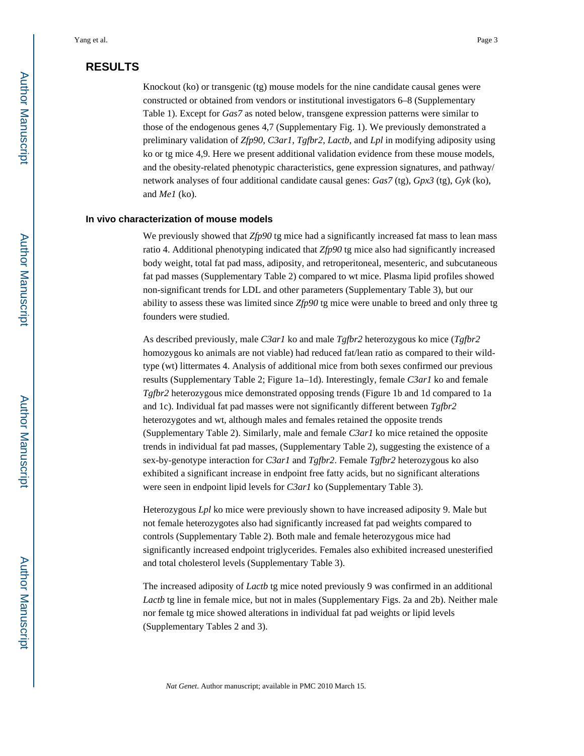# **RESULTS**

Knockout (ko) or transgenic (tg) mouse models for the nine candidate causal genes were constructed or obtained from vendors or institutional investigators 6–8 (Supplementary Table 1). Except for *Gas7* as noted below, transgene expression patterns were similar to those of the endogenous genes 4,7 (Supplementary Fig. 1). We previously demonstrated a preliminary validation of *Zfp90*, *C3ar1*, *Tgfbr2*, *Lactb*, and *Lpl* in modifying adiposity using ko or tg mice 4,9. Here we present additional validation evidence from these mouse models, and the obesity-related phenotypic characteristics, gene expression signatures, and pathway/ network analyses of four additional candidate causal genes: *Gas7* (tg), *Gpx3* (tg), *Gyk* (ko), and *Me1* (ko).

#### **In vivo characterization of mouse models**

We previously showed that *Zfp90* tg mice had a significantly increased fat mass to lean mass ratio 4. Additional phenotyping indicated that *Zfp90* tg mice also had significantly increased body weight, total fat pad mass, adiposity, and retroperitoneal, mesenteric, and subcutaneous fat pad masses (Supplementary Table 2) compared to wt mice. Plasma lipid profiles showed non-significant trends for LDL and other parameters (Supplementary Table 3), but our ability to assess these was limited since *Zfp90* tg mice were unable to breed and only three tg founders were studied.

As described previously, male *C3ar1* ko and male *Tgfbr2* heterozygous ko mice (*Tgfbr2*  homozygous ko animals are not viable) had reduced fat/lean ratio as compared to their wildtype (wt) littermates 4. Analysis of additional mice from both sexes confirmed our previous results (Supplementary Table 2; Figure 1a–1d). Interestingly, female *C3ar1* ko and female *Tgfbr2* heterozygous mice demonstrated opposing trends (Figure 1b and 1d compared to 1a and 1c). Individual fat pad masses were not significantly different between *Tgfbr2*  heterozygotes and wt, although males and females retained the opposite trends (Supplementary Table 2). Similarly, male and female *C3ar1* ko mice retained the opposite trends in individual fat pad masses, (Supplementary Table 2), suggesting the existence of a sex-by-genotype interaction for *C3ar1* and *Tgfbr2*. Female *Tgfbr2* heterozygous ko also exhibited a significant increase in endpoint free fatty acids, but no significant alterations were seen in endpoint lipid levels for *C3ar1* ko (Supplementary Table 3).

Heterozygous *Lpl* ko mice were previously shown to have increased adiposity 9. Male but not female heterozygotes also had significantly increased fat pad weights compared to controls (Supplementary Table 2). Both male and female heterozygous mice had significantly increased endpoint triglycerides. Females also exhibited increased unesterified and total cholesterol levels (Supplementary Table 3).

The increased adiposity of *Lactb* tg mice noted previously 9 was confirmed in an additional *Lactb* tg line in female mice, but not in males (Supplementary Figs. 2a and 2b). Neither male nor female tg mice showed alterations in individual fat pad weights or lipid levels (Supplementary Tables 2 and 3).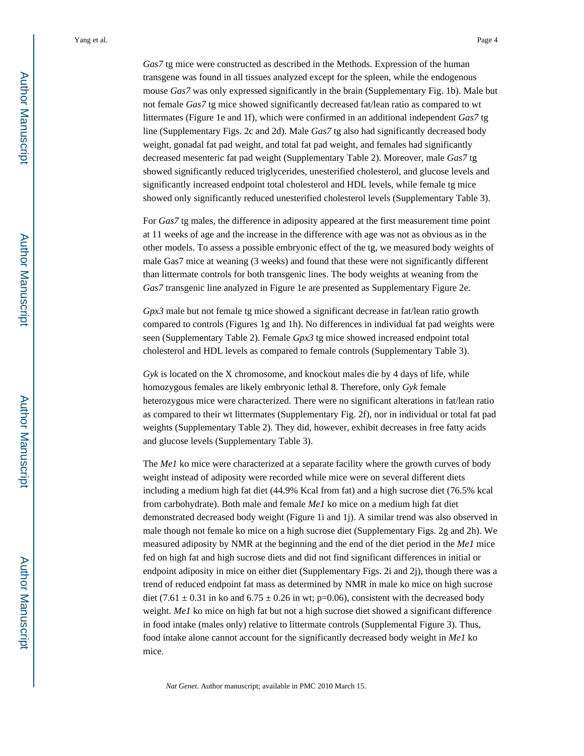*Gas7* tg mice were constructed as described in the Methods. Expression of the human transgene was found in all tissues analyzed except for the spleen, while the endogenous mouse *Gas7* was only expressed significantly in the brain (Supplementary Fig. 1b). Male but not female *Gas7* tg mice showed significantly decreased fat/lean ratio as compared to wt littermates (Figure 1e and 1f), which were confirmed in an additional independent *Gas7* tg line (Supplementary Figs. 2c and 2d). Male *Gas7* tg also had significantly decreased body weight, gonadal fat pad weight, and total fat pad weight, and females had significantly decreased mesenteric fat pad weight (Supplementary Table 2). Moreover, male *Gas7* tg showed significantly reduced triglycerides, unesterified cholesterol, and glucose levels and significantly increased endpoint total cholesterol and HDL levels, while female tg mice showed only significantly reduced unesterified cholesterol levels (Supplementary Table 3).

For *Gas7* tg males, the difference in adiposity appeared at the first measurement time point at 11 weeks of age and the increase in the difference with age was not as obvious as in the other models. To assess a possible embryonic effect of the tg, we measured body weights of male Gas7 mice at weaning (3 weeks) and found that these were not significantly different than littermate controls for both transgenic lines. The body weights at weaning from the *Gas7* transgenic line analyzed in Figure 1e are presented as Supplementary Figure 2e.

*Gpx3* male but not female tg mice showed a significant decrease in fat/lean ratio growth compared to controls (Figures 1g and 1h). No differences in individual fat pad weights were seen (Supplementary Table 2). Female *Gpx3* tg mice showed increased endpoint total cholesterol and HDL levels as compared to female controls (Supplementary Table 3).

*Gyk* is located on the X chromosome, and knockout males die by 4 days of life, while homozygous females are likely embryonic lethal 8. Therefore, only *Gyk* female heterozygous mice were characterized. There were no significant alterations in fat/lean ratio as compared to their wt littermates (Supplementary Fig. 2f), nor in individual or total fat pad weights (Supplementary Table 2). They did, however, exhibit decreases in free fatty acids and glucose levels (Supplementary Table 3).

The *Me1* ko mice were characterized at a separate facility where the growth curves of body weight instead of adiposity were recorded while mice were on several different diets including a medium high fat diet (44.9% Kcal from fat) and a high sucrose diet (76.5% kcal from carbohydrate). Both male and female *Me1* ko mice on a medium high fat diet demonstrated decreased body weight (Figure 1i and 1j). A similar trend was also observed in male though not female ko mice on a high sucrose diet (Supplementary Figs. 2g and 2h). We measured adiposity by NMR at the beginning and the end of the diet period in the *Me1* mice fed on high fat and high sucrose diets and did not find significant differences in initial or endpoint adiposity in mice on either diet (Supplementary Figs. 2i and 2j), though there was a trend of reduced endpoint fat mass as determined by NMR in male ko mice on high sucrose diet (7.61  $\pm$  0.31 in ko and 6.75  $\pm$  0.26 in wt; p=0.06), consistent with the decreased body weight. *Me1* ko mice on high fat but not a high sucrose diet showed a significant difference in food intake (males only) relative to littermate controls (Supplemental Figure 3). Thus, food intake alone cannot account for the significantly decreased body weight in *Me1* ko mice.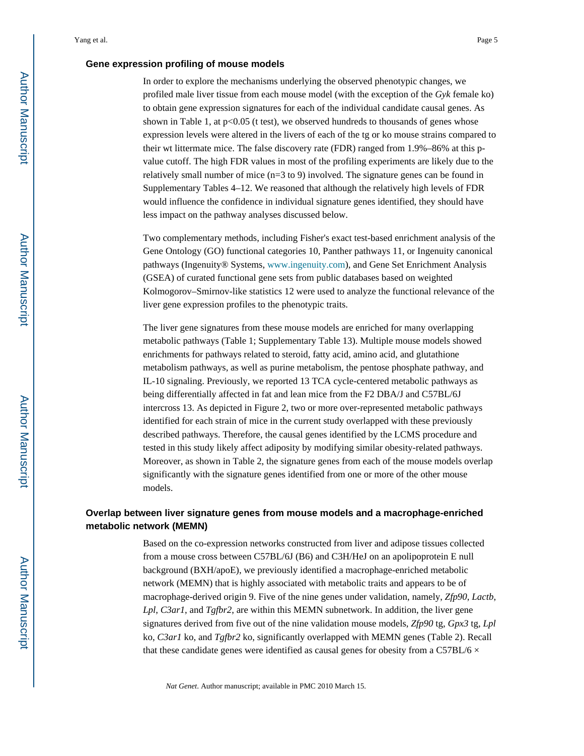#### **Gene expression profiling of mouse models**

In order to explore the mechanisms underlying the observed phenotypic changes, we profiled male liver tissue from each mouse model (with the exception of the *Gyk* female ko) to obtain gene expression signatures for each of the individual candidate causal genes. As shown in Table 1, at  $p<0.05$  (t test), we observed hundreds to thousands of genes whose expression levels were altered in the livers of each of the tg or ko mouse strains compared to their wt littermate mice. The false discovery rate (FDR) ranged from 1.9%–86% at this pvalue cutoff. The high FDR values in most of the profiling experiments are likely due to the relatively small number of mice  $(n=3 \text{ to } 9)$  involved. The signature genes can be found in Supplementary Tables 4–12. We reasoned that although the relatively high levels of FDR would influence the confidence in individual signature genes identified, they should have less impact on the pathway analyses discussed below.

Two complementary methods, including Fisher's exact test-based enrichment analysis of the Gene Ontology (GO) functional categories 10, Panther pathways 11, or Ingenuity canonical pathways (Ingenuity® Systems, [www.ingenuity.com](http://www.ingenuity.com)), and Gene Set Enrichment Analysis (GSEA) of curated functional gene sets from public databases based on weighted Kolmogorov–Smirnov-like statistics 12 were used to analyze the functional relevance of the liver gene expression profiles to the phenotypic traits.

The liver gene signatures from these mouse models are enriched for many overlapping metabolic pathways (Table 1; Supplementary Table 13). Multiple mouse models showed enrichments for pathways related to steroid, fatty acid, amino acid, and glutathione metabolism pathways, as well as purine metabolism, the pentose phosphate pathway, and IL-10 signaling. Previously, we reported 13 TCA cycle-centered metabolic pathways as being differentially affected in fat and lean mice from the F2 DBA/J and C57BL/6J intercross 13. As depicted in Figure 2, two or more over-represented metabolic pathways identified for each strain of mice in the current study overlapped with these previously described pathways. Therefore, the causal genes identified by the LCMS procedure and tested in this study likely affect adiposity by modifying similar obesity-related pathways. Moreover, as shown in Table 2, the signature genes from each of the mouse models overlap significantly with the signature genes identified from one or more of the other mouse models.

### **Overlap between liver signature genes from mouse models and a macrophage-enriched metabolic network (MEMN)**

Based on the co-expression networks constructed from liver and adipose tissues collected from a mouse cross between C57BL/6J (B6) and C3H/HeJ on an apolipoprotein E null background (BXH/apoE), we previously identified a macrophage-enriched metabolic network (MEMN) that is highly associated with metabolic traits and appears to be of macrophage-derived origin 9. Five of the nine genes under validation, namely, *Zfp90*, *Lactb*, *Lpl*, *C3ar1*, and *Tgfbr2*, are within this MEMN subnetwork. In addition, the liver gene signatures derived from five out of the nine validation mouse models, *Zfp90* tg, *Gpx3* tg, *Lpl*  ko, *C3ar1* ko, and *Tgfbr2* ko, significantly overlapped with MEMN genes (Table 2). Recall that these candidate genes were identified as causal genes for obesity from a C57BL/6  $\times$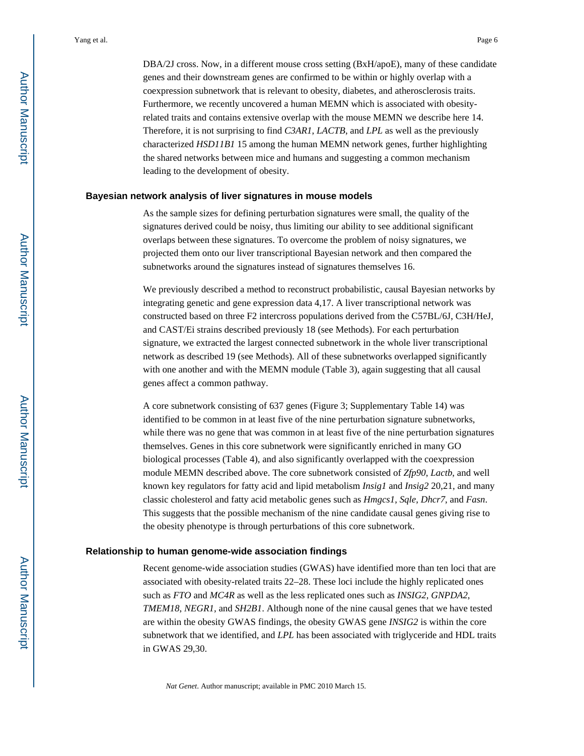DBA/2J cross. Now, in a different mouse cross setting (BxH/apoE), many of these candidate genes and their downstream genes are confirmed to be within or highly overlap with a coexpression subnetwork that is relevant to obesity, diabetes, and atherosclerosis traits. Furthermore, we recently uncovered a human MEMN which is associated with obesityrelated traits and contains extensive overlap with the mouse MEMN we describe here 14. Therefore, it is not surprising to find *C3AR1*, *LACTB*, and *LPL* as well as the previously characterized *HSD11B1* 15 among the human MEMN network genes, further highlighting the shared networks between mice and humans and suggesting a common mechanism leading to the development of obesity.

#### **Bayesian network analysis of liver signatures in mouse models**

As the sample sizes for defining perturbation signatures were small, the quality of the signatures derived could be noisy, thus limiting our ability to see additional significant overlaps between these signatures. To overcome the problem of noisy signatures, we projected them onto our liver transcriptional Bayesian network and then compared the subnetworks around the signatures instead of signatures themselves 16.

We previously described a method to reconstruct probabilistic, causal Bayesian networks by integrating genetic and gene expression data 4,17. A liver transcriptional network was constructed based on three F2 intercross populations derived from the C57BL/6J, C3H/HeJ, and CAST/Ei strains described previously 18 (see Methods). For each perturbation signature, we extracted the largest connected subnetwork in the whole liver transcriptional network as described 19 (see Methods). All of these subnetworks overlapped significantly with one another and with the MEMN module (Table 3), again suggesting that all causal genes affect a common pathway.

A core subnetwork consisting of 637 genes (Figure 3; Supplementary Table 14) was identified to be common in at least five of the nine perturbation signature subnetworks, while there was no gene that was common in at least five of the nine perturbation signatures themselves. Genes in this core subnetwork were significantly enriched in many GO biological processes (Table 4), and also significantly overlapped with the coexpression module MEMN described above. The core subnetwork consisted of *Zfp90*, *Lactb*, and well known key regulators for fatty acid and lipid metabolism *Insig1* and *Insig2* 20,21, and many classic cholesterol and fatty acid metabolic genes such as *Hmgcs1*, *Sqle*, *Dhcr7*, and *Fasn*. This suggests that the possible mechanism of the nine candidate causal genes giving rise to the obesity phenotype is through perturbations of this core subnetwork.

#### **Relationship to human genome-wide association findings**

Recent genome-wide association studies (GWAS) have identified more than ten loci that are associated with obesity-related traits 22–28. These loci include the highly replicated ones such as *FTO* and *MC4R* as well as the less replicated ones such as *INSIG2*, *GNPDA2*, *TMEM18*, *NEGR1*, and *SH2B1*. Although none of the nine causal genes that we have tested are within the obesity GWAS findings, the obesity GWAS gene *INSIG2* is within the core subnetwork that we identified, and *LPL* has been associated with triglyceride and HDL traits in GWAS 29,30.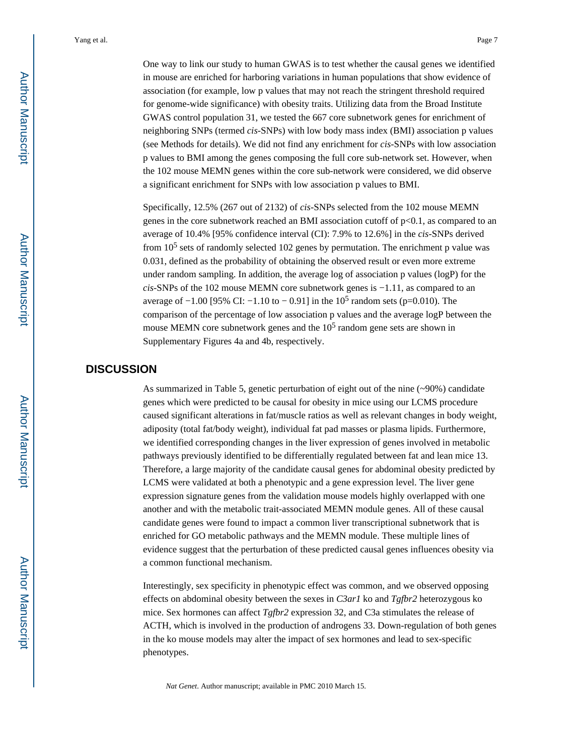One way to link our study to human GWAS is to test whether the causal genes we identified in mouse are enriched for harboring variations in human populations that show evidence of association (for example, low p values that may not reach the stringent threshold required for genome-wide significance) with obesity traits. Utilizing data from the Broad Institute GWAS control population 31, we tested the 667 core subnetwork genes for enrichment of neighboring SNPs (termed *cis*-SNPs) with low body mass index (BMI) association p values (see Methods for details). We did not find any enrichment for *cis*-SNPs with low association p values to BMI among the genes composing the full core sub-network set. However, when the 102 mouse MEMN genes within the core sub-network were considered, we did observe a significant enrichment for SNPs with low association p values to BMI.

Specifically, 12.5% (267 out of 2132) of *cis*-SNPs selected from the 102 mouse MEMN genes in the core subnetwork reached an BMI association cutoff of p<0.1, as compared to an average of 10.4% [95% confidence interval (CI): 7.9% to 12.6%] in the *cis*-SNPs derived from  $10<sup>5</sup>$  sets of randomly selected 102 genes by permutation. The enrichment p value was 0.031, defined as the probability of obtaining the observed result or even more extreme under random sampling. In addition, the average log of association p values (logP) for the *cis*-SNPs of the 102 mouse MEMN core subnetwork genes is −1.11, as compared to an average of  $-1.00$  [95% CI:  $-1.10$  to  $-0.91$ ] in the 10<sup>5</sup> random sets (p=0.010). The comparison of the percentage of low association p values and the average logP between the mouse MEMN core subnetwork genes and the  $10<sup>5</sup>$  random gene sets are shown in Supplementary Figures 4a and 4b, respectively.

# **DISCUSSION**

As summarized in Table 5, genetic perturbation of eight out of the nine (~90%) candidate genes which were predicted to be causal for obesity in mice using our LCMS procedure caused significant alterations in fat/muscle ratios as well as relevant changes in body weight, adiposity (total fat/body weight), individual fat pad masses or plasma lipids. Furthermore, we identified corresponding changes in the liver expression of genes involved in metabolic pathways previously identified to be differentially regulated between fat and lean mice 13. Therefore, a large majority of the candidate causal genes for abdominal obesity predicted by LCMS were validated at both a phenotypic and a gene expression level. The liver gene expression signature genes from the validation mouse models highly overlapped with one another and with the metabolic trait-associated MEMN module genes. All of these causal candidate genes were found to impact a common liver transcriptional subnetwork that is enriched for GO metabolic pathways and the MEMN module. These multiple lines of evidence suggest that the perturbation of these predicted causal genes influences obesity via a common functional mechanism.

Interestingly, sex specificity in phenotypic effect was common, and we observed opposing effects on abdominal obesity between the sexes in *C3ar1* ko and *Tgfbr2* heterozygous ko mice. Sex hormones can affect *Tgfbr2* expression 32, and C3a stimulates the release of ACTH, which is involved in the production of androgens 33. Down-regulation of both genes in the ko mouse models may alter the impact of sex hormones and lead to sex-specific phenotypes.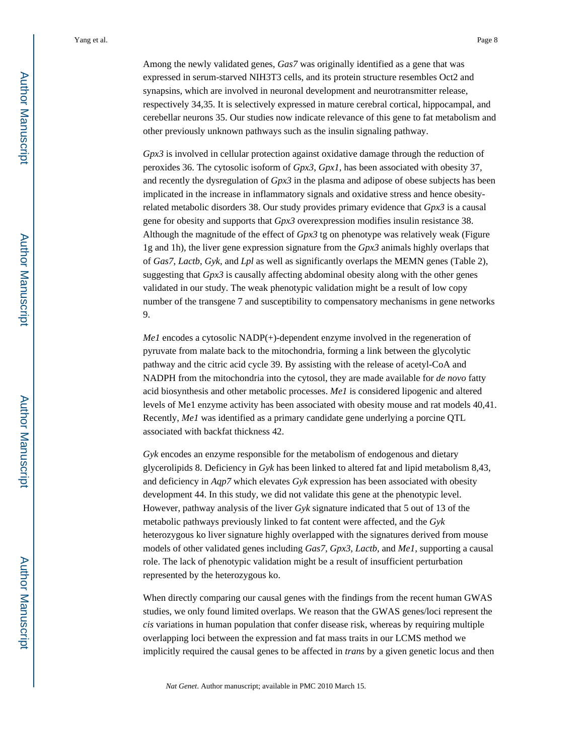Among the newly validated genes, *Gas7* was originally identified as a gene that was expressed in serum-starved NIH3T3 cells, and its protein structure resembles Oct2 and synapsins, which are involved in neuronal development and neurotransmitter release, respectively 34,35. It is selectively expressed in mature cerebral cortical, hippocampal, and cerebellar neurons 35. Our studies now indicate relevance of this gene to fat metabolism and other previously unknown pathways such as the insulin signaling pathway.

*Gpx3* is involved in cellular protection against oxidative damage through the reduction of peroxides 36. The cytosolic isoform of *Gpx3*, *Gpx1*, has been associated with obesity 37, and recently the dysregulation of *Gpx3* in the plasma and adipose of obese subjects has been implicated in the increase in inflammatory signals and oxidative stress and hence obesityrelated metabolic disorders 38. Our study provides primary evidence that *Gpx3* is a causal gene for obesity and supports that *Gpx3* overexpression modifies insulin resistance 38. Although the magnitude of the effect of *Gpx3* tg on phenotype was relatively weak (Figure 1g and 1h), the liver gene expression signature from the *Gpx3* animals highly overlaps that of *Gas7*, *Lactb*, *Gyk*, and *Lpl* as well as significantly overlaps the MEMN genes (Table 2), suggesting that *Gpx3* is causally affecting abdominal obesity along with the other genes validated in our study. The weak phenotypic validation might be a result of low copy number of the transgene 7 and susceptibility to compensatory mechanisms in gene networks 9.

*Me1* encodes a cytosolic NADP(+)-dependent enzyme involved in the regeneration of pyruvate from malate back to the mitochondria, forming a link between the glycolytic pathway and the citric acid cycle 39. By assisting with the release of acetyl-CoA and NADPH from the mitochondria into the cytosol, they are made available for *de novo* fatty acid biosynthesis and other metabolic processes. *Me1* is considered lipogenic and altered levels of Me1 enzyme activity has been associated with obesity mouse and rat models 40,41. Recently, *Me1* was identified as a primary candidate gene underlying a porcine QTL associated with backfat thickness 42.

*Gyk* encodes an enzyme responsible for the metabolism of endogenous and dietary glycerolipids 8. Deficiency in *Gyk* has been linked to altered fat and lipid metabolism 8,43, and deficiency in *Aqp7* which elevates *Gyk* expression has been associated with obesity development 44. In this study, we did not validate this gene at the phenotypic level. However, pathway analysis of the liver *Gyk* signature indicated that 5 out of 13 of the metabolic pathways previously linked to fat content were affected, and the *Gyk*  heterozygous ko liver signature highly overlapped with the signatures derived from mouse models of other validated genes including *Gas7*, *Gpx3*, *Lactb*, and *Me1*, supporting a causal role. The lack of phenotypic validation might be a result of insufficient perturbation represented by the heterozygous ko.

When directly comparing our causal genes with the findings from the recent human GWAS studies, we only found limited overlaps. We reason that the GWAS genes/loci represent the *cis* variations in human population that confer disease risk, whereas by requiring multiple overlapping loci between the expression and fat mass traits in our LCMS method we implicitly required the causal genes to be affected in *trans* by a given genetic locus and then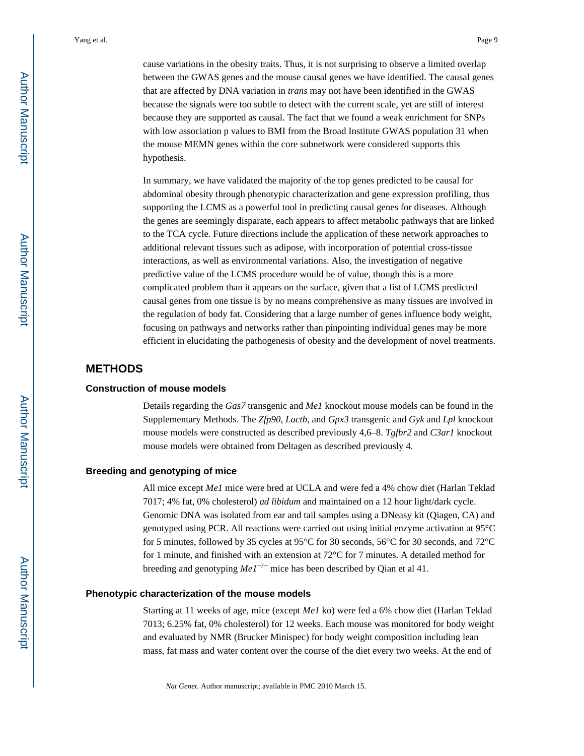cause variations in the obesity traits. Thus, it is not surprising to observe a limited overlap between the GWAS genes and the mouse causal genes we have identified. The causal genes that are affected by DNA variation in *trans* may not have been identified in the GWAS because the signals were too subtle to detect with the current scale, yet are still of interest because they are supported as causal. The fact that we found a weak enrichment for SNPs with low association p values to BMI from the Broad Institute GWAS population 31 when the mouse MEMN genes within the core subnetwork were considered supports this hypothesis.

In summary, we have validated the majority of the top genes predicted to be causal for abdominal obesity through phenotypic characterization and gene expression profiling, thus supporting the LCMS as a powerful tool in predicting causal genes for diseases. Although the genes are seemingly disparate, each appears to affect metabolic pathways that are linked to the TCA cycle. Future directions include the application of these network approaches to additional relevant tissues such as adipose, with incorporation of potential cross-tissue interactions, as well as environmental variations. Also, the investigation of negative predictive value of the LCMS procedure would be of value, though this is a more complicated problem than it appears on the surface, given that a list of LCMS predicted causal genes from one tissue is by no means comprehensive as many tissues are involved in the regulation of body fat. Considering that a large number of genes influence body weight, focusing on pathways and networks rather than pinpointing individual genes may be more efficient in elucidating the pathogenesis of obesity and the development of novel treatments.

# **METHODS**

#### **Construction of mouse models**

Details regarding the *Gas7* transgenic and *Me1* knockout mouse models can be found in the Supplementary Methods. The *Zfp90*, *Lactb*, and *Gpx3* transgenic and *Gyk* and *Lpl* knockout mouse models were constructed as described previously 4,6–8. *Tgfbr2* and *C3ar1* knockout mouse models were obtained from Deltagen as described previously 4.

#### **Breeding and genotyping of mice**

All mice except *Me1* mice were bred at UCLA and were fed a 4% chow diet (Harlan Teklad 7017; 4% fat, 0% cholesterol) *ad libidum* and maintained on a 12 hour light/dark cycle. Genomic DNA was isolated from ear and tail samples using a DNeasy kit (Qiagen, CA) and genotyped using PCR. All reactions were carried out using initial enzyme activation at 95°C for 5 minutes, followed by 35 cycles at 95°C for 30 seconds, 56°C for 30 seconds, and 72°C for 1 minute, and finished with an extension at 72°C for 7 minutes. A detailed method for breeding and genotyping *Me1*−/− mice has been described by Qian et al 41.

#### **Phenotypic characterization of the mouse models**

Starting at 11 weeks of age, mice (except *Me1* ko) were fed a 6% chow diet (Harlan Teklad 7013; 6.25% fat, 0% cholesterol) for 12 weeks. Each mouse was monitored for body weight and evaluated by NMR (Brucker Minispec) for body weight composition including lean mass, fat mass and water content over the course of the diet every two weeks. At the end of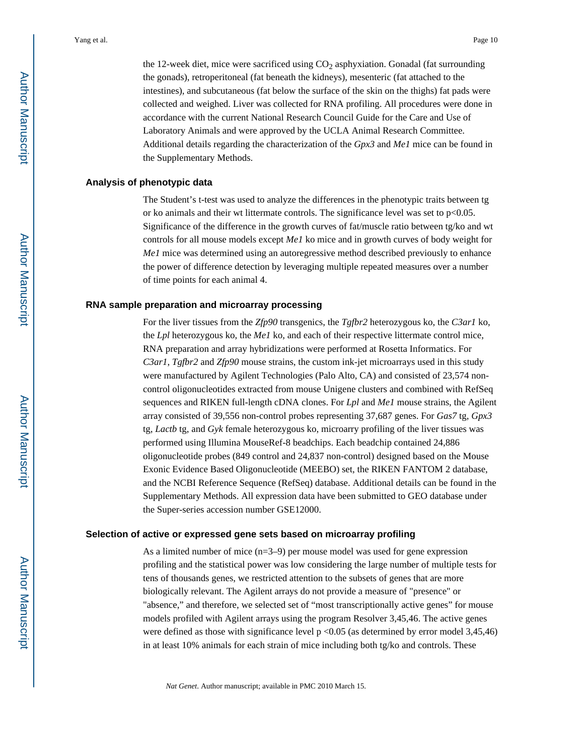the 12-week diet, mice were sacrificed using  $CO<sub>2</sub>$  asphyxiation. Gonadal (fat surrounding the gonads), retroperitoneal (fat beneath the kidneys), mesenteric (fat attached to the intestines), and subcutaneous (fat below the surface of the skin on the thighs) fat pads were collected and weighed. Liver was collected for RNA profiling. All procedures were done in accordance with the current National Research Council Guide for the Care and Use of Laboratory Animals and were approved by the UCLA Animal Research Committee. Additional details regarding the characterization of the *Gpx3* and *Me1* mice can be found in the Supplementary Methods.

#### **Analysis of phenotypic data**

The Student's t-test was used to analyze the differences in the phenotypic traits between tg or ko animals and their wt littermate controls. The significance level was set to p<0.05. Significance of the difference in the growth curves of fat/muscle ratio between tg/ko and wt controls for all mouse models except *Me1* ko mice and in growth curves of body weight for *Me1* mice was determined using an autoregressive method described previously to enhance the power of difference detection by leveraging multiple repeated measures over a number of time points for each animal 4.

#### **RNA sample preparation and microarray processing**

For the liver tissues from the *Zfp90* transgenics, the *Tgfbr2* heterozygous ko, the *C3ar1* ko, the *Lpl* heterozygous ko, the *Me1* ko, and each of their respective littermate control mice, RNA preparation and array hybridizations were performed at Rosetta Informatics. For *C3ar1*, *Tgfbr2* and *Zfp90* mouse strains, the custom ink-jet microarrays used in this study were manufactured by Agilent Technologies (Palo Alto, CA) and consisted of 23,574 noncontrol oligonucleotides extracted from mouse Unigene clusters and combined with RefSeq sequences and RIKEN full-length cDNA clones. For *Lpl* and *Me1* mouse strains, the Agilent array consisted of 39,556 non-control probes representing 37,687 genes. For *Gas7* tg, *Gpx3*  tg, *Lactb* tg, and *Gyk* female heterozygous ko, microarry profiling of the liver tissues was performed using Illumina MouseRef-8 beadchips. Each beadchip contained 24,886 oligonucleotide probes (849 control and 24,837 non-control) designed based on the Mouse Exonic Evidence Based Oligonucleotide (MEEBO) set, the RIKEN FANTOM 2 database, and the NCBI Reference Sequence (RefSeq) database. Additional details can be found in the Supplementary Methods. All expression data have been submitted to GEO database under the Super-series accession number GSE12000.

#### **Selection of active or expressed gene sets based on microarray profiling**

As a limited number of mice (n=3–9) per mouse model was used for gene expression profiling and the statistical power was low considering the large number of multiple tests for tens of thousands genes, we restricted attention to the subsets of genes that are more biologically relevant. The Agilent arrays do not provide a measure of "presence" or "absence," and therefore, we selected set of "most transcriptionally active genes" for mouse models profiled with Agilent arrays using the program Resolver 3,45,46. The active genes were defined as those with significance level  $p \le 0.05$  (as determined by error model 3,45,46) in at least 10% animals for each strain of mice including both tg/ko and controls. These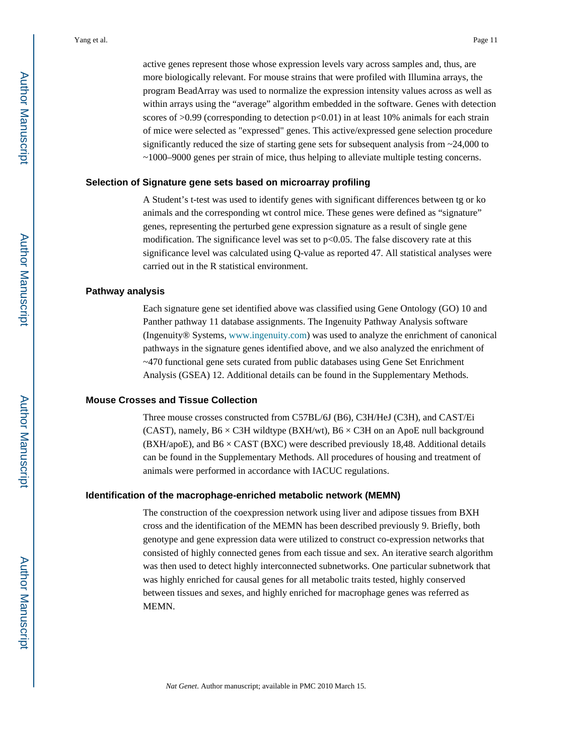active genes represent those whose expression levels vary across samples and, thus, are more biologically relevant. For mouse strains that were profiled with Illumina arrays, the program BeadArray was used to normalize the expression intensity values across as well as within arrays using the "average" algorithm embedded in the software. Genes with detection scores of  $>0.99$  (corresponding to detection  $p<0.01$ ) in at least 10% animals for each strain of mice were selected as "expressed" genes. This active/expressed gene selection procedure significantly reduced the size of starting gene sets for subsequent analysis from  $\sim$ 24,000 to ~1000–9000 genes per strain of mice, thus helping to alleviate multiple testing concerns.

#### **Selection of Signature gene sets based on microarray profiling**

A Student's t-test was used to identify genes with significant differences between tg or ko animals and the corresponding wt control mice. These genes were defined as "signature" genes, representing the perturbed gene expression signature as a result of single gene modification. The significance level was set to  $p<0.05$ . The false discovery rate at this significance level was calculated using Q-value as reported 47. All statistical analyses were carried out in the R statistical environment.

#### **Pathway analysis**

Each signature gene set identified above was classified using Gene Ontology (GO) 10 and Panther pathway 11 database assignments. The Ingenuity Pathway Analysis software (Ingenuity® Systems, [www.ingenuity.com\)](http://www.ingenuity.com) was used to analyze the enrichment of canonical pathways in the signature genes identified above, and we also analyzed the enrichment of ~470 functional gene sets curated from public databases using Gene Set Enrichment Analysis (GSEA) 12. Additional details can be found in the Supplementary Methods.

#### **Mouse Crosses and Tissue Collection**

Three mouse crosses constructed from C57BL/6J (B6), C3H/HeJ (C3H), and CAST/Ei (CAST), namely,  $B6 \times C3H$  wildtype (BXH/wt),  $B6 \times C3H$  on an ApoE null background  $(BXH/apoE)$ , and  $B6 \times CAST$  (BXC) were described previously 18,48. Additional details can be found in the Supplementary Methods. All procedures of housing and treatment of animals were performed in accordance with IACUC regulations.

#### **Identification of the macrophage-enriched metabolic network (MEMN)**

The construction of the coexpression network using liver and adipose tissues from BXH cross and the identification of the MEMN has been described previously 9. Briefly, both genotype and gene expression data were utilized to construct co-expression networks that consisted of highly connected genes from each tissue and sex. An iterative search algorithm was then used to detect highly interconnected subnetworks. One particular subnetwork that was highly enriched for causal genes for all metabolic traits tested, highly conserved between tissues and sexes, and highly enriched for macrophage genes was referred as MEMN.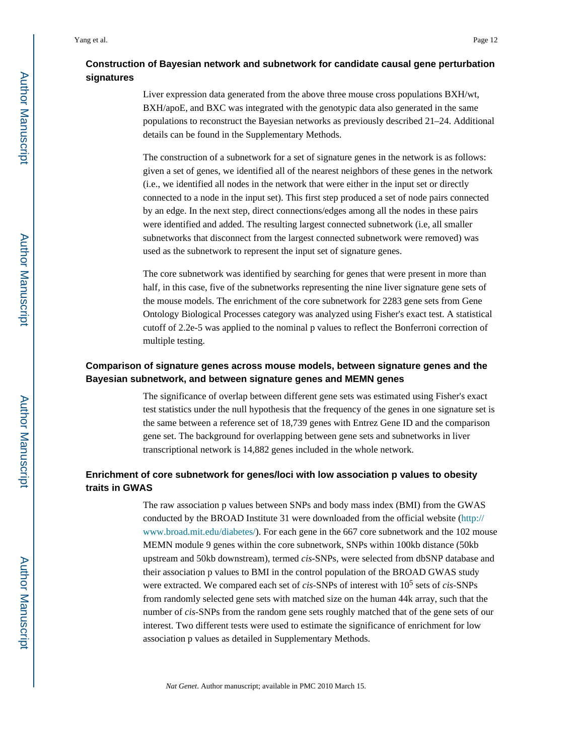# **Construction of Bayesian network and subnetwork for candidate causal gene perturbation signatures**

Liver expression data generated from the above three mouse cross populations BXH/wt, BXH/apoE, and BXC was integrated with the genotypic data also generated in the same populations to reconstruct the Bayesian networks as previously described 21–24. Additional details can be found in the Supplementary Methods.

The construction of a subnetwork for a set of signature genes in the network is as follows: given a set of genes, we identified all of the nearest neighbors of these genes in the network (i.e., we identified all nodes in the network that were either in the input set or directly connected to a node in the input set). This first step produced a set of node pairs connected by an edge. In the next step, direct connections/edges among all the nodes in these pairs were identified and added. The resulting largest connected subnetwork (i.e, all smaller subnetworks that disconnect from the largest connected subnetwork were removed) was used as the subnetwork to represent the input set of signature genes.

The core subnetwork was identified by searching for genes that were present in more than half, in this case, five of the subnetworks representing the nine liver signature gene sets of the mouse models. The enrichment of the core subnetwork for 2283 gene sets from Gene Ontology Biological Processes category was analyzed using Fisher's exact test. A statistical cutoff of 2.2e-5 was applied to the nominal p values to reflect the Bonferroni correction of multiple testing.

## **Comparison of signature genes across mouse models, between signature genes and the Bayesian subnetwork, and between signature genes and MEMN genes**

The significance of overlap between different gene sets was estimated using Fisher's exact test statistics under the null hypothesis that the frequency of the genes in one signature set is the same between a reference set of 18,739 genes with Entrez Gene ID and the comparison gene set. The background for overlapping between gene sets and subnetworks in liver transcriptional network is 14,882 genes included in the whole network.

# **Enrichment of core subnetwork for genes/loci with low association p values to obesity traits in GWAS**

The raw association p values between SNPs and body mass index (BMI) from the GWAS conducted by the BROAD Institute 31 were downloaded from the official website ([http://](http://www.broad.mit.edu/diabetes/) [www.broad.mit.edu/diabetes/](http://www.broad.mit.edu/diabetes/)). For each gene in the 667 core subnetwork and the 102 mouse MEMN module 9 genes within the core subnetwork, SNPs within 100kb distance (50kb upstream and 50kb downstream), termed *cis*-SNPs, were selected from dbSNP database and their association p values to BMI in the control population of the BROAD GWAS study were extracted. We compared each set of *cis*-SNPs of interest with 10<sup>5</sup> sets of *cis*-SNPs from randomly selected gene sets with matched size on the human 44k array, such that the number of *cis*-SNPs from the random gene sets roughly matched that of the gene sets of our interest. Two different tests were used to estimate the significance of enrichment for low association p values as detailed in Supplementary Methods.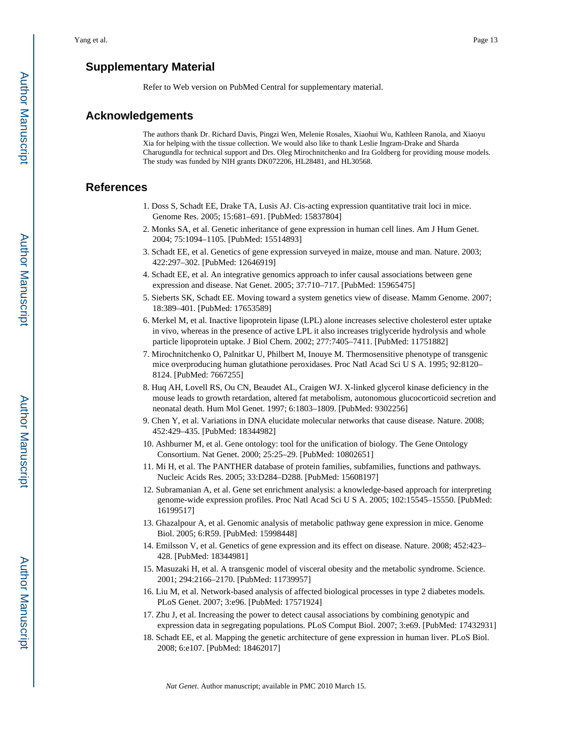# **Supplementary Material**

Refer to Web version on PubMed Central for supplementary material.

#### **Acknowledgements**

The authors thank Dr. Richard Davis, Pingzi Wen, Melenie Rosales, Xiaohui Wu, Kathleen Ranola, and Xiaoyu Xia for helping with the tissue collection. We would also like to thank Leslie Ingram-Drake and Sharda Charugundla for technical support and Drs. Oleg Mirochnitchenko and Ira Goldberg for providing mouse models. The study was funded by NIH grants DK072206, HL28481, and HL30568.

### **References**

- 1. Doss S, Schadt EE, Drake TA, Lusis AJ. Cis-acting expression quantitative trait loci in mice. Genome Res. 2005; 15:681–691. [PubMed: 15837804]
- 2. Monks SA, et al. Genetic inheritance of gene expression in human cell lines. Am J Hum Genet. 2004; 75:1094–1105. [PubMed: 15514893]
- 3. Schadt EE, et al. Genetics of gene expression surveyed in maize, mouse and man. Nature. 2003; 422:297–302. [PubMed: 12646919]
- 4. Schadt EE, et al. An integrative genomics approach to infer causal associations between gene expression and disease. Nat Genet. 2005; 37:710–717. [PubMed: 15965475]
- 5. Sieberts SK, Schadt EE. Moving toward a system genetics view of disease. Mamm Genome. 2007; 18:389–401. [PubMed: 17653589]
- 6. Merkel M, et al. Inactive lipoprotein lipase (LPL) alone increases selective cholesterol ester uptake in vivo, whereas in the presence of active LPL it also increases triglyceride hydrolysis and whole particle lipoprotein uptake. J Biol Chem. 2002; 277:7405–7411. [PubMed: 11751882]
- 7. Mirochnitchenko O, Palnitkar U, Philbert M, Inouye M. Thermosensitive phenotype of transgenic mice overproducing human glutathione peroxidases. Proc Natl Acad Sci U S A. 1995; 92:8120– 8124. [PubMed: 7667255]
- 8. Huq AH, Lovell RS, Ou CN, Beaudet AL, Craigen WJ. X-linked glycerol kinase deficiency in the mouse leads to growth retardation, altered fat metabolism, autonomous glucocorticoid secretion and neonatal death. Hum Mol Genet. 1997; 6:1803–1809. [PubMed: 9302256]
- 9. Chen Y, et al. Variations in DNA elucidate molecular networks that cause disease. Nature. 2008; 452:429–435. [PubMed: 18344982]
- 10. Ashburner M, et al. Gene ontology: tool for the unification of biology. The Gene Ontology Consortium. Nat Genet. 2000; 25:25–29. [PubMed: 10802651]
- 11. Mi H, et al. The PANTHER database of protein families, subfamilies, functions and pathways. Nucleic Acids Res. 2005; 33:D284–D288. [PubMed: 15608197]
- 12. Subramanian A, et al. Gene set enrichment analysis: a knowledge-based approach for interpreting genome-wide expression profiles. Proc Natl Acad Sci U S A. 2005; 102:15545–15550. [PubMed: 16199517]
- 13. Ghazalpour A, et al. Genomic analysis of metabolic pathway gene expression in mice. Genome Biol. 2005; 6:R59. [PubMed: 15998448]
- 14. Emilsson V, et al. Genetics of gene expression and its effect on disease. Nature. 2008; 452:423– 428. [PubMed: 18344981]
- 15. Masuzaki H, et al. A transgenic model of visceral obesity and the metabolic syndrome. Science. 2001; 294:2166–2170. [PubMed: 11739957]
- 16. Liu M, et al. Network-based analysis of affected biological processes in type 2 diabetes models. PLoS Genet. 2007; 3:e96. [PubMed: 17571924]
- 17. Zhu J, et al. Increasing the power to detect causal associations by combining genotypic and expression data in segregating populations. PLoS Comput Biol. 2007; 3:e69. [PubMed: 17432931]
- 18. Schadt EE, et al. Mapping the genetic architecture of gene expression in human liver. PLoS Biol. 2008; 6:e107. [PubMed: 18462017]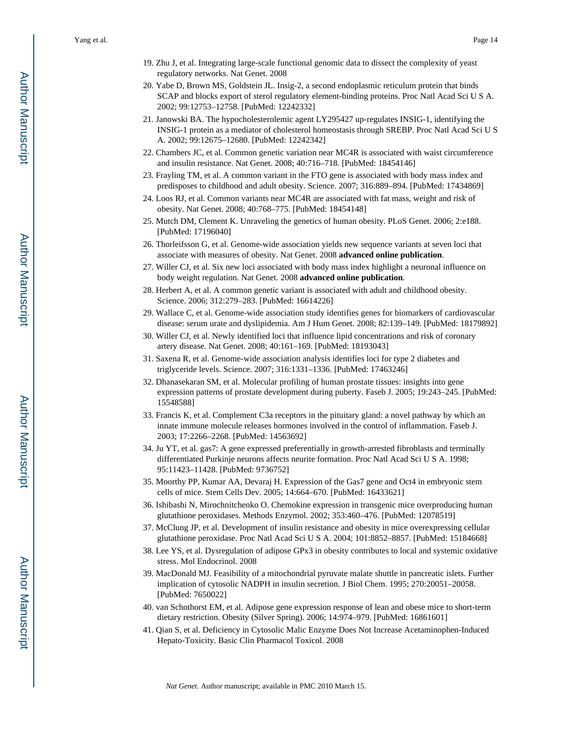- 19. Zhu J, et al. Integrating large-scale functional genomic data to dissect the complexity of yeast regulatory networks. Nat Genet. 2008
- 20. Yabe D, Brown MS, Goldstein JL. Insig-2, a second endoplasmic reticulum protein that binds SCAP and blocks export of sterol regulatory element-binding proteins. Proc Natl Acad Sci U S A. 2002; 99:12753–12758. [PubMed: 12242332]
- 21. Janowski BA. The hypocholesterolemic agent LY295427 up-regulates INSIG-1, identifying the INSIG-1 protein as a mediator of cholesterol homeostasis through SREBP. Proc Natl Acad Sci U S A. 2002; 99:12675–12680. [PubMed: 12242342]
- 22. Chambers JC, et al. Common genetic variation near MC4R is associated with waist circumference and insulin resistance. Nat Genet. 2008; 40:716–718. [PubMed: 18454146]
- 23. Frayling TM, et al. A common variant in the FTO gene is associated with body mass index and predisposes to childhood and adult obesity. Science. 2007; 316:889–894. [PubMed: 17434869]
- 24. Loos RJ, et al. Common variants near MC4R are associated with fat mass, weight and risk of obesity. Nat Genet. 2008; 40:768–775. [PubMed: 18454148]
- 25. Mutch DM, Clement K. Unraveling the genetics of human obesity. PLoS Genet. 2006; 2:e188. [PubMed: 17196040]
- 26. Thorleifsson G, et al. Genome-wide association yields new sequence variants at seven loci that associate with measures of obesity. Nat Genet. 2008 **advanced online publication**.
- 27. Willer CJ, et al. Six new loci associated with body mass index highlight a neuronal influence on body weight regulation. Nat Genet. 2008 **advanced online publication**.
- 28. Herbert A, et al. A common genetic variant is associated with adult and childhood obesity. Science. 2006; 312:279–283. [PubMed: 16614226]
- 29. Wallace C, et al. Genome-wide association study identifies genes for biomarkers of cardiovascular disease: serum urate and dyslipidemia. Am J Hum Genet. 2008; 82:139–149. [PubMed: 18179892]
- 30. Willer CJ, et al. Newly identified loci that influence lipid concentrations and risk of coronary artery disease. Nat Genet. 2008; 40:161–169. [PubMed: 18193043]
- 31. Saxena R, et al. Genome-wide association analysis identifies loci for type 2 diabetes and triglyceride levels. Science. 2007; 316:1331–1336. [PubMed: 17463246]
- 32. Dhanasekaran SM, et al. Molecular profiling of human prostate tissues: insights into gene expression patterns of prostate development during puberty. Faseb J. 2005; 19:243–245. [PubMed: 15548588]
- 33. Francis K, et al. Complement C3a receptors in the pituitary gland: a novel pathway by which an innate immune molecule releases hormones involved in the control of inflammation. Faseb J. 2003; 17:2266–2268. [PubMed: 14563692]
- 34. Ju YT, et al. gas7: A gene expressed preferentially in growth-arrested fibroblasts and terminally differentiated Purkinje neurons affects neurite formation. Proc Natl Acad Sci U S A. 1998; 95:11423–11428. [PubMed: 9736752]
- 35. Moorthy PP, Kumar AA, Devaraj H. Expression of the Gas7 gene and Oct4 in embryonic stem cells of mice. Stem Cells Dev. 2005; 14:664–670. [PubMed: 16433621]
- 36. Ishibashi N, Mirochnitchenko O. Chemokine expression in transgenic mice overproducing human glutathione peroxidases. Methods Enzymol. 2002; 353:460–476. [PubMed: 12078519]
- 37. McClung JP, et al. Development of insulin resistance and obesity in mice overexpressing cellular glutathione peroxidase. Proc Natl Acad Sci U S A. 2004; 101:8852–8857. [PubMed: 15184668]
- 38. Lee YS, et al. Dysregulation of adipose GPx3 in obesity contributes to local and systemic oxidative stress. Mol Endocrinol. 2008
- 39. MacDonald MJ. Feasibility of a mitochondrial pyruvate malate shuttle in pancreatic islets. Further implication of cytosolic NADPH in insulin secretion. J Biol Chem. 1995; 270:20051–20058. [PubMed: 7650022]
- 40. van Schothorst EM, et al. Adipose gene expression response of lean and obese mice to short-term dietary restriction. Obesity (Silver Spring). 2006; 14:974–979. [PubMed: 16861601]
- 41. Qian S, et al. Deficiency in Cytosolic Malic Enzyme Does Not Increase Acetaminophen-Induced Hepato-Toxicity. Basic Clin Pharmacol Toxicol. 2008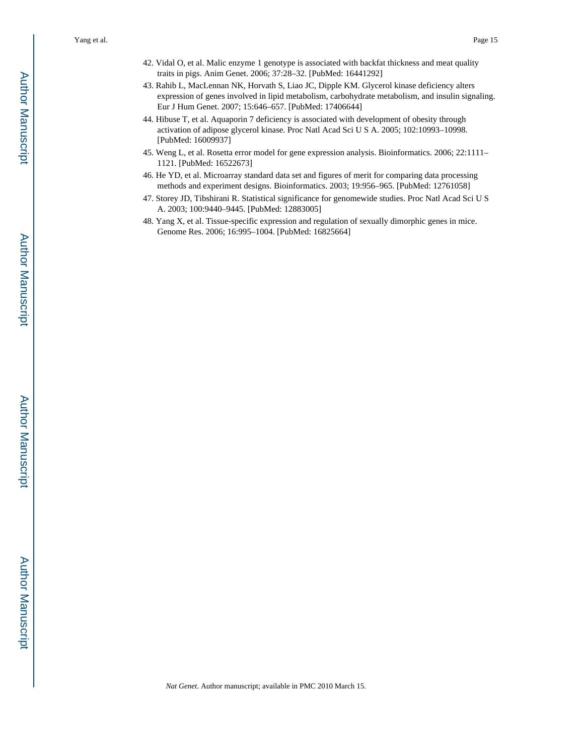- 42. Vidal O, et al. Malic enzyme 1 genotype is associated with backfat thickness and meat quality traits in pigs. Anim Genet. 2006; 37:28–32. [PubMed: 16441292]
- 43. Rahib L, MacLennan NK, Horvath S, Liao JC, Dipple KM. Glycerol kinase deficiency alters expression of genes involved in lipid metabolism, carbohydrate metabolism, and insulin signaling. Eur J Hum Genet. 2007; 15:646–657. [PubMed: 17406644]
- 44. Hibuse T, et al. Aquaporin 7 deficiency is associated with development of obesity through activation of adipose glycerol kinase. Proc Natl Acad Sci U S A. 2005; 102:10993–10998. [PubMed: 16009937]
- 45. Weng L, et al. Rosetta error model for gene expression analysis. Bioinformatics. 2006; 22:1111– 1121. [PubMed: 16522673]
- 46. He YD, et al. Microarray standard data set and figures of merit for comparing data processing methods and experiment designs. Bioinformatics. 2003; 19:956–965. [PubMed: 12761058]
- 47. Storey JD, Tibshirani R. Statistical significance for genomewide studies. Proc Natl Acad Sci U S A. 2003; 100:9440–9445. [PubMed: 12883005]
- 48. Yang X, et al. Tissue-specific expression and regulation of sexually dimorphic genes in mice. Genome Res. 2006; 16:995–1004. [PubMed: 16825664]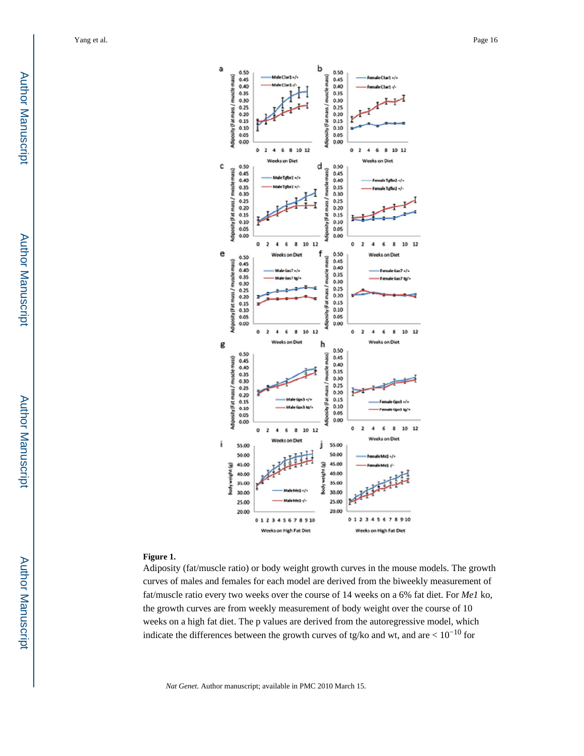

#### **Figure 1.**

Adiposity (fat/muscle ratio) or body weight growth curves in the mouse models. The growth curves of males and females for each model are derived from the biweekly measurement of fat/muscle ratio every two weeks over the course of 14 weeks on a 6% fat diet. For *Me1* ko, the growth curves are from weekly measurement of body weight over the course of 10 weeks on a high fat diet. The p values are derived from the autoregressive model, which indicate the differences between the growth curves of tg/ko and wt, and are  $< 10^{-10}$  for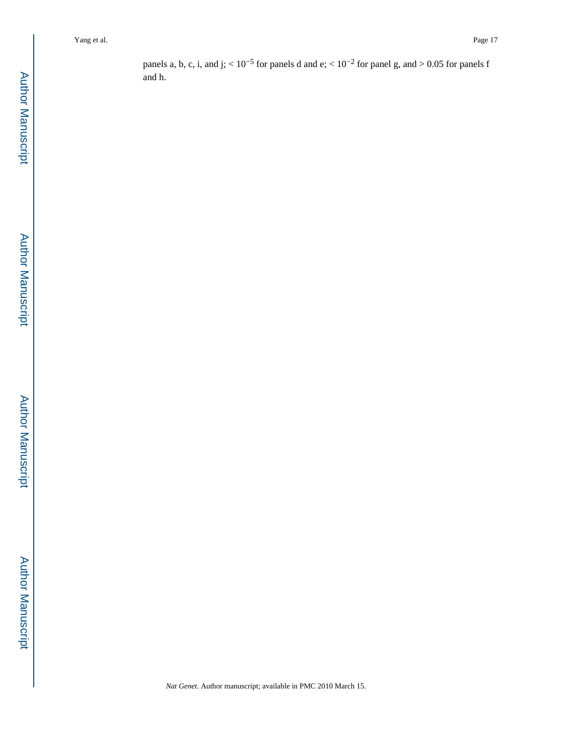panels a, b, c, i, and j;  $< 10^{-5}$  for panels d and e;  $< 10^{-2}$  for panel g, and  $> 0.05$  for panels f and h.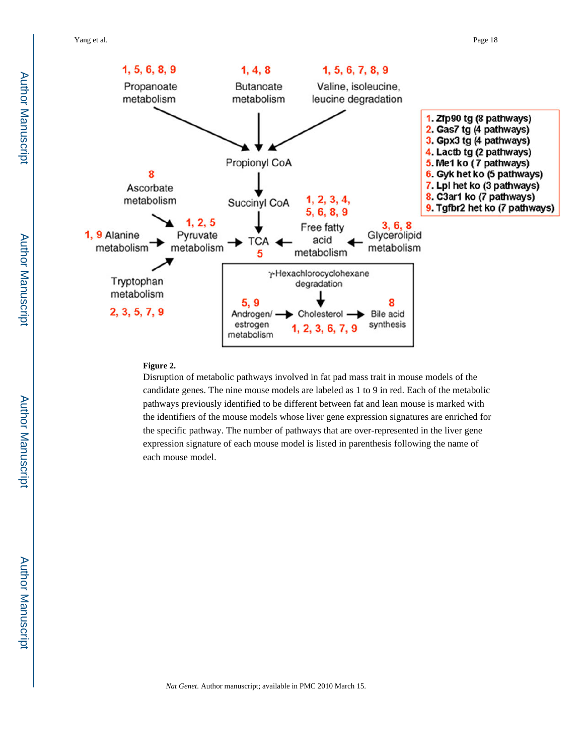

#### **Figure 2.**

Disruption of metabolic pathways involved in fat pad mass trait in mouse models of the candidate genes. The nine mouse models are labeled as 1 to 9 in red. Each of the metabolic pathways previously identified to be different between fat and lean mouse is marked with the identifiers of the mouse models whose liver gene expression signatures are enriched for the specific pathway. The number of pathways that are over-represented in the liver gene expression signature of each mouse model is listed in parenthesis following the name of each mouse model.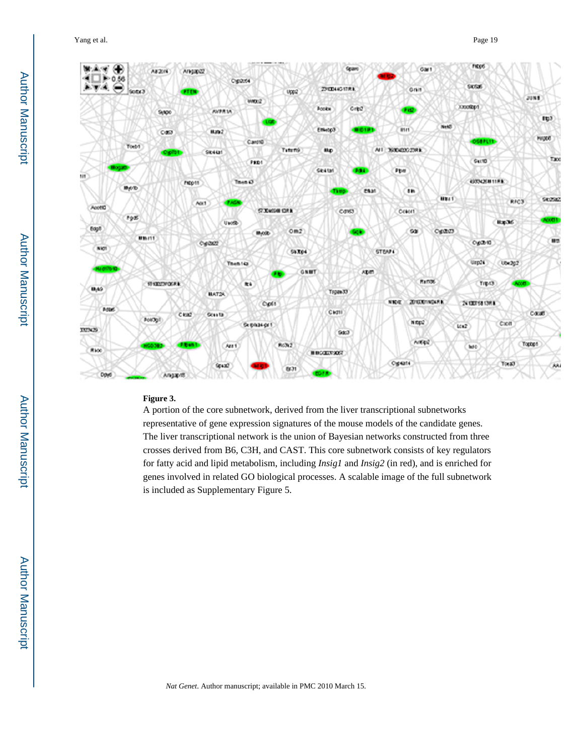Yang et al. Page 19



#### **Figure 3.**

A portion of the core subnetwork, derived from the liver transcriptional subnetworks representative of gene expression signatures of the mouse models of the candidate genes. The liver transcriptional network is the union of Bayesian networks constructed from three crosses derived from B6, C3H, and CAST. This core subnetwork consists of key regulators for fatty acid and lipid metabolism, including *Insig1* and *Insig2* (in red), and is enriched for genes involved in related GO biological processes. A scalable image of the full subnetwork is included as Supplementary Figure 5.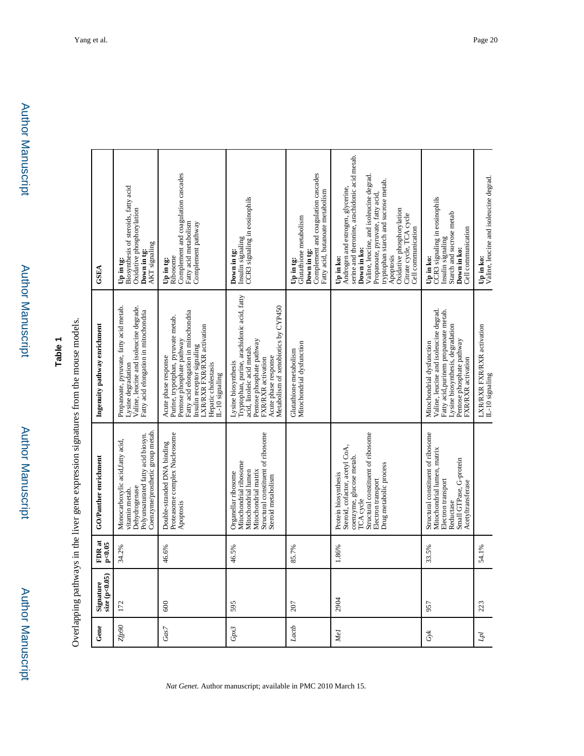# **Table 1**

Overlapping pathways in the liver gene expression signatures from the mouse models. Overlapping pathways in the liver gene expression signatures from the mouse models.

| Gene            | Signature<br>size (p<0.05) | FDR <sub>at</sub><br>p<0.05 | GO/Panther enrichment                                                                                                                                                                 | Ingenuity pathway enrichment                                                                                                                                                                                                          | <b>GSEA</b>                                                                                                                                                                                                                                                                                                                       |
|-----------------|----------------------------|-----------------------------|---------------------------------------------------------------------------------------------------------------------------------------------------------------------------------------|---------------------------------------------------------------------------------------------------------------------------------------------------------------------------------------------------------------------------------------|-----------------------------------------------------------------------------------------------------------------------------------------------------------------------------------------------------------------------------------------------------------------------------------------------------------------------------------|
| <b>OGGZ</b>     | 172                        | 34.2%                       | Coenzyme/prosthetic group metab.<br>Polyunsaturated fatty acid biosyn.<br>Monocarboxylic acid, fatty acid,<br>Dehydrogenase<br>vitamin metab.                                         | Propanoate, pyruvate, fatty acid metab.<br>Valine, leucine and isoleucine degrade.<br>Fatty acid elongation in mitochondria<br>Lysine degradation                                                                                     | Biosynthesis of steroids, fatty acid<br>Oxidative phosphorylation<br>AKT signaling<br>Down in tg:<br>Up in tg:                                                                                                                                                                                                                    |
| Gas7            | 600                        | 46.6%                       | Proteasome complex Nucleosome<br>Double-stranded DNA binding<br>Apoptosis                                                                                                             | Fatty acid elongation in mitochondria<br>Purine, trypotphan, pyruvate metab.<br>LXR/RXR FXR/RXR activation<br>Pentose phosphate pathway<br>nsulin receptor signaling<br>Acute phase response<br>Hepatic cholestasis<br>L-10 signaling | Complement and coagulation cascades<br>Fatty acid metabolism<br>Complement pathway<br>Ribosome<br>Up in tg:                                                                                                                                                                                                                       |
| Gpx3            | 595                        | 46.5%                       | Structural constituent of ribosome<br>Mitochondrial ribosome<br>Mitochondrial lumen<br>Mitochondrial matrix<br>Organellar ribosome<br>Steroid metabolism                              | Tryptophan, purine, arachidonic acid, fatty<br>Metabolism of xenobiotics by CYP450<br>Pentose phosphate pathway<br>acid, linoleic acid metab.<br>Acute phase response<br>FXR/RXR activation<br>Lysine biosynthesis                    | CCR3 signaling in eosinophils<br>Insulin signaling<br>Down in tg:                                                                                                                                                                                                                                                                 |
| Lactb           | 207                        | 85.7%                       |                                                                                                                                                                                       | Mitochondrial dysfunction<br>Glutathione metabolism                                                                                                                                                                                   | Complement and coagulation cascades<br>Fatty acid, butanoate metabolism<br>Glutathione metabolism<br>Down in tg:<br>Up in tg:                                                                                                                                                                                                     |
| Me <sub>1</sub> | 2904                       | 1.86%                       | Structural constituent of ribosome<br>Steroid, cofactor, acetyl CoA,<br>coenzyme, glucose metab.<br>Drug metabolic process<br>Protein biosynthesis<br>Electron transport<br>TCA cycle |                                                                                                                                                                                                                                       | serine and theronine, arachidonic acid metab.<br>Valine, leucine, and isoleucine degrad<br>tryptophan starch and sucrose metab.<br>Androgen and estrogen, glycerine,<br>Propanoate, pyruvate, fatty acid,<br>Oxidative phosphorylation<br>Citrate cycle, TCA cycle<br>Cell communication<br>Down in ko:<br>Apoptosis<br>Up in ko: |
| $G\nless$       | 957                        | 33.5%                       | Structural constituent of ribosome<br>Mitochondrial lumen, matrix<br>Small GTPase, G-protein<br>Electron transport<br>Acetyltransferase<br>Reductase                                  | Valine, leucine and isoleucine degrad.<br>Fatty acid, purinem propanoate metab.<br>Lysine biosynthesis, degradation<br>Pentose phosphate pathway<br>Mitochondrial dysfunction<br>FXR/RXR activation                                   | CCR3 signaling in eosinophils<br>Starch and sucrose metab<br>Cell communication<br>Insulin signaling<br>Down in ko:<br>Up in ko:                                                                                                                                                                                                  |
| ÌЧ              | 223                        | 54.1%                       |                                                                                                                                                                                       | LXR/RXR FXR/RXR activation<br>IL-10 signaling                                                                                                                                                                                         | Up in ko:<br>Valine, leucine and isoleucine degrad.                                                                                                                                                                                                                                                                               |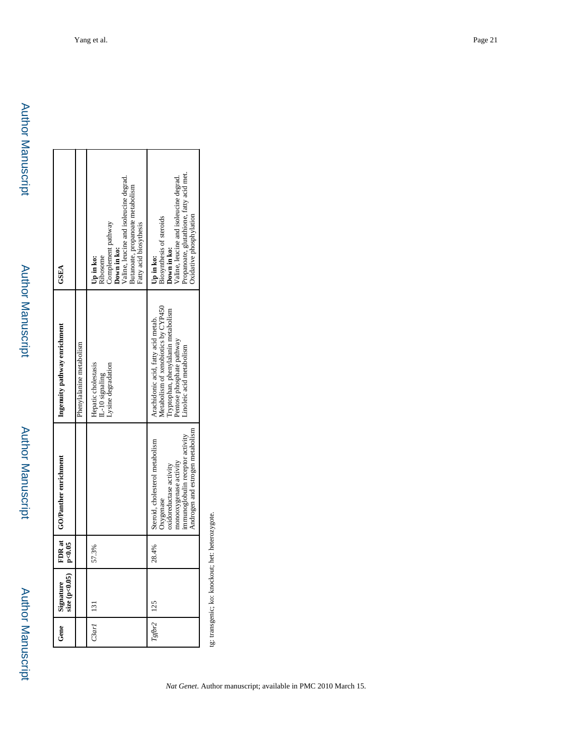| Gene        | $\begin{array}{c} \text{ signature} \\ \text{size (p<0.05)} \end{array}$ | FDR at  <br>p < 0.05 | GO/Panther enrichment                                                                                                                                                     | Ingenuity pathway enrichment                                                                                                                                              | GSEA                                                                                                                                                                         |
|-------------|--------------------------------------------------------------------------|----------------------|---------------------------------------------------------------------------------------------------------------------------------------------------------------------------|---------------------------------------------------------------------------------------------------------------------------------------------------------------------------|------------------------------------------------------------------------------------------------------------------------------------------------------------------------------|
|             |                                                                          |                      |                                                                                                                                                                           | Phenylalanine metabolism                                                                                                                                                  |                                                                                                                                                                              |
| C3ar1   131 |                                                                          | 7.3%<br>in           |                                                                                                                                                                           | Hepatic cholestasis<br>Lysine degradation<br>IL-10 signaling                                                                                                              | <b>Down in ko:</b><br>Valine, leucine and isoleucine degrad.<br>Butanoate, propanoate metabolism<br>Complement pathway<br>Fatty acid biosythesis<br>Ribosome<br>Up in ko:    |
|             | $Tg\beta r2$   125                                                       | 28.4%                | Androgen and estrogen metabolism<br>immunoglobulin receptor activity<br>Steroid, cholesterol metabolism<br>monooxygenase activity<br>oxidoreductase activity<br>Oxygenase | Metabolism of xenobiotics by CYP450<br>Tryptophan, phenylalanin metabolism<br>Arachidonic acid, fatty acid metab.<br>Pentose phosphate pathway<br>inoleic acid metabolism | Propanoate, glutathione, fatty acid met.<br>Valine, leucine and isoleucine degrad.<br>Oxidative phosphylation<br>Biosynthesis of steroids<br><b>Down in ko:</b><br>Up in ko: |

tg: transgenic; ko: knockout; het: heterozygote. tg: transgenic; ko: knockout; het: heterozygote.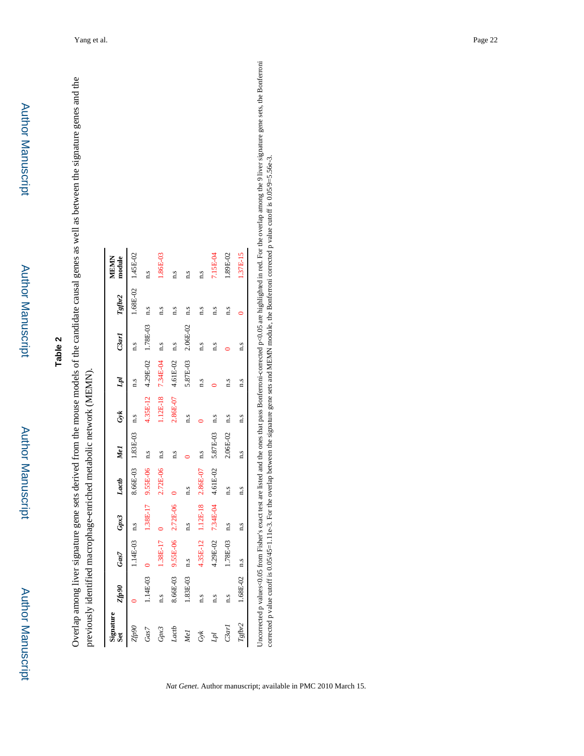| previously identified macrophage-enriched metabolic network (MEMN). |              |                            |                   |                |                   |                     |                     |                                      |     | Overlap among liver signature gene sets derived from the mouse models of the candidate causal genes as well as between the signature genes and the |
|---------------------------------------------------------------------|--------------|----------------------------|-------------------|----------------|-------------------|---------------------|---------------------|--------------------------------------|-----|----------------------------------------------------------------------------------------------------------------------------------------------------|
| Signature<br>$S$ et                                                 | <b>Stp90</b> | Gas7                       | Gpx3              | Lactb Mel      |                   | Gyk                 | Lpl                 | $C3ar1$ $Tgfbr2$                     |     | module<br><b>MEMIN</b>                                                                                                                             |
| Zfp90                                                               |              | $1.14E-03$ n.s             |                   |                | 8.66E-03 1.83E-03 | n.s                 | n.s                 | n.s                                  |     | $1.68E - 02$ $1.45E - 02$                                                                                                                          |
| Gas7                                                                | $1.14E-03$ 0 |                            | 1.38E-17          | 9.55E-06 n.s   |                   |                     |                     | $4.35E-12$ $4.29E-02$ $1.78E-03$ n.s |     | n.s                                                                                                                                                |
| Gpx3                                                                | $1.5\,$      | $1.38E-17$ 0               |                   | $2.72E-06$ n.s |                   |                     | $1.12E-18$ 7.34E-04 | n.s                                  | n.s | $.86E-03$                                                                                                                                          |
| Lactb                                                               |              | 8.66E-03 9.55E-06 2.72E-06 |                   |                | n.s               | $2.86E-07$ 4.61E-02 |                     | 1.5                                  | n.s | n.s                                                                                                                                                |
| Me <sub>1</sub>                                                     | 1.83E-03     | 1.5                        | n.s               | n.s            |                   | 1.5                 | 5.87E-03            | 2.06E-02                             | 1.5 | n.s                                                                                                                                                |
| $G\nu k$                                                            | $1.5\,$      |                            | 4.35E-12 1.12E-18 | 2.86E-07       | n.s               |                     | n.s                 | n.s                                  | n.s | n.s                                                                                                                                                |
| JqJ                                                                 | 1.5          | 4.29E-02                   | 7.34E-04          |                | 4.61E-02 5.87E-03 | 1.5                 |                     | n.s                                  | n.s | 7.15E-04                                                                                                                                           |
| C3arl                                                               | n.s          | 1.78E-03                   | n.s               | n.s            | $2.06E - 02$      | 1.5                 | n.s                 |                                      | n.s | $0.89E-02$                                                                                                                                         |
| Tgfbr2                                                              | 1.68E-02     | n.s                        | n.s               | n.s            | n.s               | n.s                 | n.s                 | n.s                                  |     | 1.37E-15                                                                                                                                           |

Uncorrected p values<0.05 from Fisher's exact test are listed and the ones that pass Bonferroni-corrected p<0.05 are highlighted in red. For the overlap among the 9 liver signature gene sets, the Bonferroni corrected p val Uncorrected p values<0.05 from Fisher's exact test are listed and the ones that pass Bonferroni-corrected p<0.05 are highlighted in red. For the overlap among the 9 liver signature gene sets, the Bonferroni corrected p value cutoff is 0.05/45=1.11e-3. For the overlap between the signature gene sets and MEMN module, the Bonferroni corrected p value cutoff is 0.05/9=5.56e-3.

*Nat Genet*. Author manuscript; available in PMC 2010 March 15.

*Tgfbr2* 1.68E-02 n.s n.s n.s n.s n.s n.s n.s 0 1.37E-15

# **Table 2**

Author Manuscript

Author Manuscript

Author Manuscript

Author Manuscript

Author Manuscript

Author Manuscript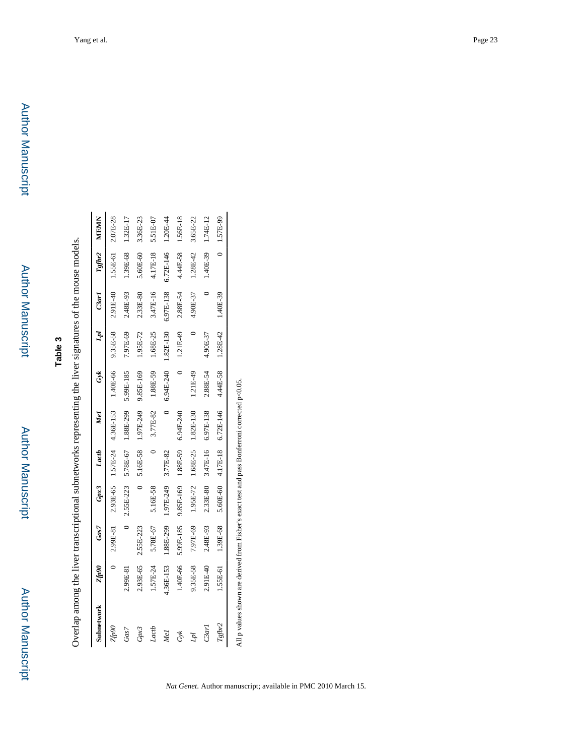Author Manuscript

**Author Manuscript** 

| i                                                              |
|----------------------------------------------------------------|
|                                                                |
|                                                                |
| Í,<br>Code Cartes Code: 1979 1980                              |
| $\sum_{i=1}^{n}$                                               |
|                                                                |
| i                                                              |
| i<br>ĺ                                                         |
|                                                                |
|                                                                |
| i                                                              |
| ֧֧֧֧֧֧֧֧֧ׅ֧֧֛֚֚֚֚֚֚֚֚֚֚֚֚֚֚֚֚֚֚֝֝֓֝֓֝֓֝֓֝֓֝֬֜֜֝֓֜֝֬֜<br>;<br>١ |

| Subnetwork | <b>Zfp90</b> | Gas7      | Gpx3      | Lactb    | Mel                               | Gyk        | h         | $_{C3arI}$ | Tgfbr2    | <b>MEMN</b>  |
|------------|--------------|-----------|-----------|----------|-----------------------------------|------------|-----------|------------|-----------|--------------|
| 06aj.      |              | 2.99E-81  |           |          | 2.93E-65 1.57E-24 4.36E-153       | 1.40E-66   | 9.35E-58  | 2.91E-40   | 1.55E-61  | 2.07E-28     |
| Gas7       | 2.99E-81     | $\circ$   |           |          | 2.55E-223 5.78E-67 1.88E-299      | 5.99E-185  | 7.97E-69  | 2.48E-93   | 1.39E-68  | 1.32E-17     |
| Gpx3       | 2.93E-65     | 2.55E-223 |           |          | 5.16E-58 1.97E-249                | 9.85E-169  | 1.95E-72  | 2.33E-80   | 5.60E-60  | 3.36E-23     |
| Lactb      | 1.57E-24     | 5.78E-67  | 5.16E-58  |          | 3.77E-82                          | 1.88E-59   | 1.68E-25  | 3.47E-16   | 4.17E-18  | 5.51E-07     |
| Vel        | 4.36E-153    | 1.88E-299 | 1.97E-249 | 3.77E-82 |                                   | 6.94E-240  | 1.82E-130 | 6.97E-138  | 6.72E-146 | 1.20E-44     |
| Š          | 1.40E-66     | 5.99E-185 | 9.85E-169 | 1.88E-59 | 6.94E-240                         |            | 1.21E-49  | 2.88E-54   | 4.44E-58  | 1.56E-18     |
| À          | 9.35E-58     | 7.97E-69  | 1.95E-72  | 1.68E-25 | 1.82E-130                         | $1.21E-49$ |           | 4.90E-37   | 1.28E-42  | 3.65E-22     |
| $C3$ arl   | 2.91E-40     | 2.48E-93  | 2.33E-80  |          | 3.47E-16 6.97E-138                | 2.88E-54   | 4.90E-37  |            | 1.40E-39  | 1.74E-12     |
| Tgfbr2     | 1.55E-61     | 1.39E-68  |           |          | $5.60E-60$ $4.17E-18$ $6.72E-146$ | 4.44E-58   | 1.28E-42  | 1.40E-39   |           | $0$ 1.57E-99 |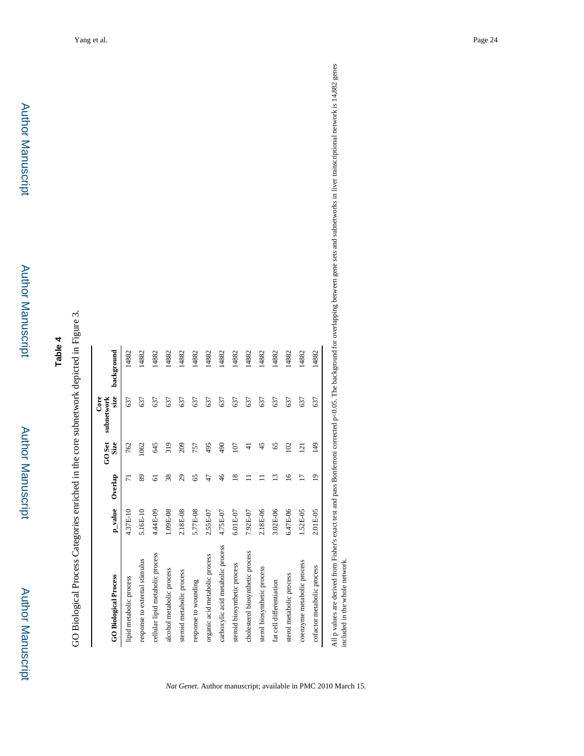# **Table 4**

GO Biological Process Categories enriched in the core subnetwork depicted in Figure 3. GO Biological Process Categories enriched in the core subnetwork depicted in Figure 3.

| <b>GO Biological Process</b>      | $p_{\perp}$ value | Overlap        | GO <sub>Set</sub><br>Size | size<br>Core<br>subnetwork | background |
|-----------------------------------|-------------------|----------------|---------------------------|----------------------------|------------|
| lipid metabolic process           | 4.37E-10          | $\overline{7}$ | 762                       | 637                        | 14882      |
| response to external stimulus     | 5.16E-10          | 89             | 1062                      | 637                        | 14882      |
| cellular lipid metabolic process  | 4.44E-09          | 61             | 645                       | 637                        | 14882      |
| alcohol metabolic process         | 1.09E-08          | 38             | 319                       | 637                        | 14882      |
| steroid metabolic process         | 2.18E-08          | 29             | 209                       | 637                        | 14882      |
| response to wounding              | 5.77E-08          | 65             | 757                       | 637                        | 14882      |
| organic acid metabolic process    | 2.55E-07          | 47             | 495                       | 637                        | 14882      |
| carboxylic acid metabolic process | 4.75E-07          | $\frac{4}{6}$  | 490                       | 637                        | 14882      |
| steroid biosynthetic process      | 6.01E-07          | $\overline{8}$ | 107                       | 637                        | 14882      |
| cholesterol biosynthetic process  | 7.92E-07          |                | ₹                         | 637                        | 14882      |
| sterol biosynthetic process       | 2.18E-06          |                | 45                        | 637                        | 14882      |
| fat cell differentiation          | 3.02E-06          | $\tilde{c}$    | 65                        | 637                        | 14882      |
| sterol metabolic process          | 6.47E-06          | $\frac{6}{1}$  | 102                       | 637                        | 14882      |
| coenzyme metabolic process        | 1.52E-05          | Ξ              | 121                       | 637                        | 14882      |
| cofactor metabolic process        | 2.01E-05          | $\overline{0}$ | 149                       | 637                        | 14882      |

*Nat Genet*. Author manuscript; available in PMC 2010 March 15.

All p values are derived from Fisher's exact test and pass Bonferroni corrected p<0.05. The background for overlapping between gene sets and subnetworks in liver transcriptional network is 14,882 genes<br>included in the whol All p values are derived from Fisher's exact test and pass Bonferroni corrected p<0.05. The background for overlapping between gene sets and subnetworks in liver transcriptional network is 14,882 genes included in the whole network.